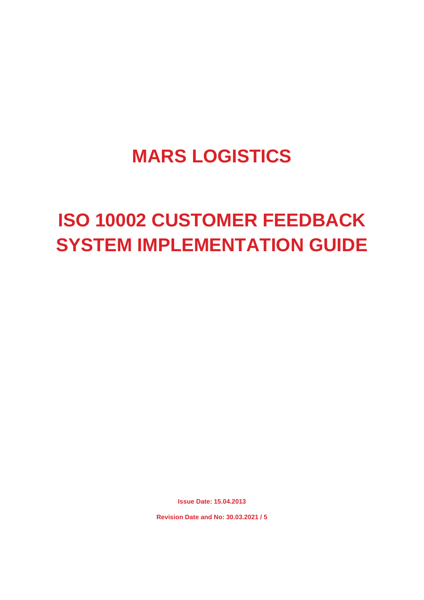# **MARS LOGISTICS**

# **ISO 10002 CUSTOMER FEEDBACK SYSTEM IMPLEMENTATION GUIDE**

**Issue Date: 15.04.2013**

**Revision Date and No: 30.03.2021 / 5**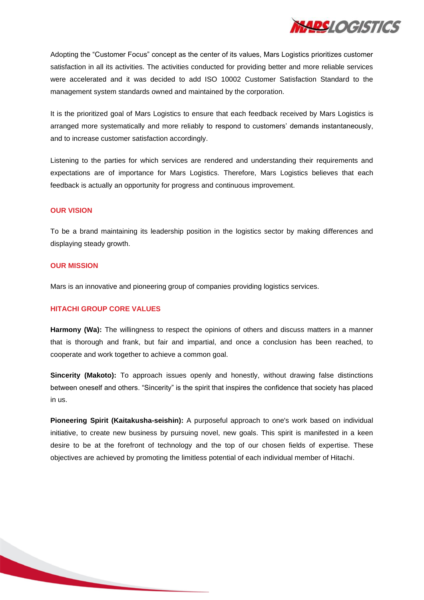

Adopting the "Customer Focus" concept as the center of its values, Mars Logistics prioritizes customer satisfaction in all its activities. The activities conducted for providing better and more reliable services were accelerated and it was decided to add ISO 10002 Customer Satisfaction Standard to the management system standards owned and maintained by the corporation.

It is the prioritized goal of Mars Logistics to ensure that each feedback received by Mars Logistics is arranged more systematically and more reliably to respond to customers' demands instantaneously, and to increase customer satisfaction accordingly.

Listening to the parties for which services are rendered and understanding their requirements and expectations are of importance for Mars Logistics. Therefore, Mars Logistics believes that each feedback is actually an opportunity for progress and continuous improvement.

#### **OUR VISION**

To be a brand maintaining its leadership position in the logistics sector by making differences and displaying steady growth.

#### **OUR MISSION**

Mars is an innovative and pioneering group of companies providing logistics services.

## **HITACHI GROUP CORE VALUES**

**Harmony (Wa):** The willingness to respect the opinions of others and discuss matters in a manner that is thorough and frank, but fair and impartial, and once a conclusion has been reached, to cooperate and work together to achieve a common goal.

**Sincerity (Makoto):** To approach issues openly and honestly, without drawing false distinctions between oneself and others. "Sincerity" is the spirit that inspires the confidence that society has placed in us.

**Pioneering Spirit (Kaitakusha-seishin):** A purposeful approach to one's work based on individual initiative, to create new business by pursuing novel, new goals. This spirit is manifested in a keen desire to be at the forefront of technology and the top of our chosen fields of expertise. These objectives are achieved by promoting the limitless potential of each individual member of Hitachi.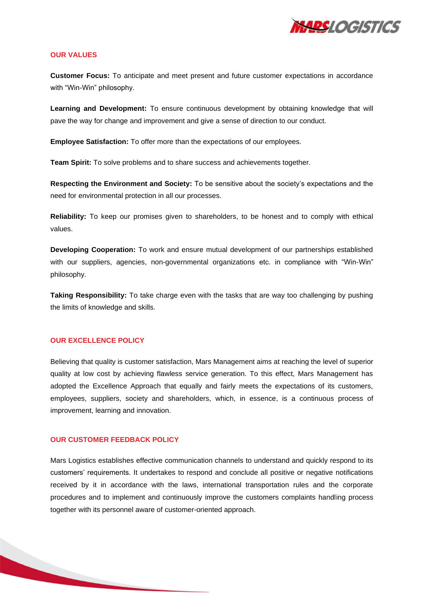

#### **OUR VALUES**

**Customer Focus:** To anticipate and meet present and future customer expectations in accordance with "Win-Win" philosophy.

**Learning and Development:** To ensure continuous development by obtaining knowledge that will pave the way for change and improvement and give a sense of direction to our conduct.

**Employee Satisfaction:** To offer more than the expectations of our employees.

**Team Spirit:** To solve problems and to share success and achievements together.

**Respecting the Environment and Society:** To be sensitive about the society's expectations and the need for environmental protection in all our processes.

**Reliability:** To keep our promises given to shareholders, to be honest and to comply with ethical values.

**Developing Cooperation:** To work and ensure mutual development of our partnerships established with our suppliers, agencies, non-governmental organizations etc. in compliance with "Win-Win" philosophy.

**Taking Responsibility:** To take charge even with the tasks that are way too challenging by pushing the limits of knowledge and skills.

#### **OUR EXCELLENCE POLICY**

Believing that quality is customer satisfaction, Mars Management aims at reaching the level of superior quality at low cost by achieving flawless service generation. To this effect, Mars Management has adopted the Excellence Approach that equally and fairly meets the expectations of its customers, employees, suppliers, society and shareholders, which, in essence, is a continuous process of improvement, learning and innovation.

#### **OUR CUSTOMER FEEDBACK POLICY**

Mars Logistics establishes effective communication channels to understand and quickly respond to its customers' requirements. It undertakes to respond and conclude all positive or negative notifications received by it in accordance with the laws, international transportation rules and the corporate procedures and to implement and continuously improve the customers complaints handling process together with its personnel aware of customer-oriented approach.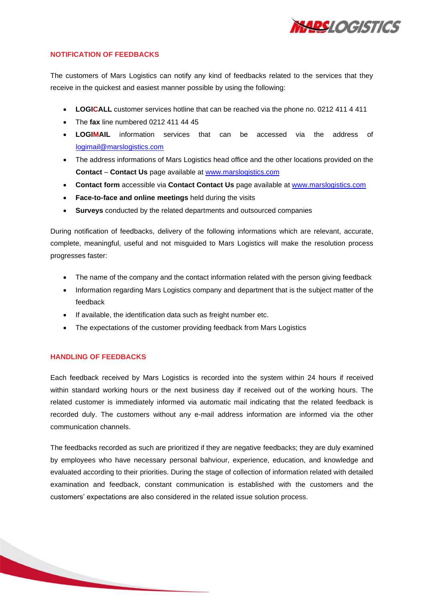

#### **NOTIFICATION OF FEEDBACKS**

The customers of Mars Logistics can notify any kind of feedbacks related to the services that they receive in the quickest and easiest manner possible by using the following:

- **LOGICALL** customer services hotline that can be reached via the phone no. 0212 411 4 411
- The **fax** line numbered 0212 411 44 45
- **LOGIMAIL** information services that can be accessed via the address of [logimail@marslogistics.com](mailto:logimail@marslogistics.com)
- The address informations of Mars Logistics head office and the other locations provided on the **Contact** – **Contact Us** page available at [www.marslogistics.com](http://www.marslogistics.com/)
- **Contact form** accessible via **Contact Contact Us** page available at [www.marslogistics.com](http://www.marslogistics.com/)
- **Face-to-face and online meetings** held during the visits
- **Surveys** conducted by the related departments and outsourced companies

During notification of feedbacks, delivery of the following informations which are relevant, accurate, complete, meaningful, useful and not misguided to Mars Logistics will make the resolution process progresses faster:

- The name of the company and the contact information related with the person giving feedback
- Information regarding Mars Logistics company and department that is the subject matter of the feedback
- If available, the identification data such as freight number etc.
- The expectations of the customer providing feedback from Mars Logistics

# **HANDLING OF FEEDBACKS**

Each feedback received by Mars Logistics is recorded into the system within 24 hours if received within standard working hours or the next business day if received out of the working hours. The related customer is immediately informed via automatic mail indicating that the related feedback is recorded duly. The customers without any e-mail address information are informed via the other communication channels.

The feedbacks recorded as such are prioritized if they are negative feedbacks; they are duly examined by employees who have necessary personal bahviour, experience, education, and knowledge and evaluated according to their priorities. During the stage of collection of information related with detailed examination and feedback, constant communication is established with the customers and the customers' expectations are also considered in the related issue solution process.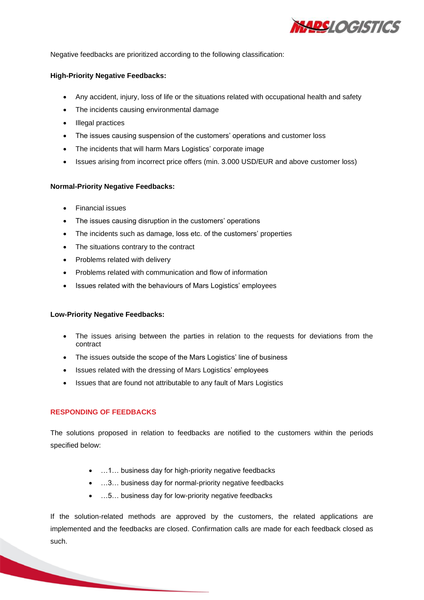

Negative feedbacks are prioritized according to the following classification:

## **High-Priority Negative Feedbacks:**

- Any accident, injury, loss of life or the situations related with occupational health and safety
- The incidents causing environmental damage
- Illegal practices
- The issues causing suspension of the customers' operations and customer loss
- The incidents that will harm Mars Logistics' corporate image
- Issues arising from incorrect price offers (min. 3.000 USD/EUR and above customer loss)

#### **Normal-Priority Negative Feedbacks:**

- Financial issues
- The issues causing disruption in the customers' operations
- The incidents such as damage, loss etc. of the customers' properties
- The situations contrary to the contract
- Problems related with delivery
- Problems related with communication and flow of information
- Issues related with the behaviours of Mars Logistics' employees

#### **Low-Priority Negative Feedbacks:**

- The issues arising between the parties in relation to the requests for deviations from the contract
- The issues outside the scope of the Mars Logistics' line of business
- Issues related with the dressing of Mars Logistics' employees
- Issues that are found not attributable to any fault of Mars Logistics

## **RESPONDING OF FEEDBACKS**

The solutions proposed in relation to feedbacks are notified to the customers within the periods specified below:

- …1… business day for high-priority negative feedbacks
- …3… business day for normal-priority negative feedbacks
- …5… business day for low-priority negative feedbacks

If the solution-related methods are approved by the customers, the related applications are implemented and the feedbacks are closed. Confirmation calls are made for each feedback closed as such.